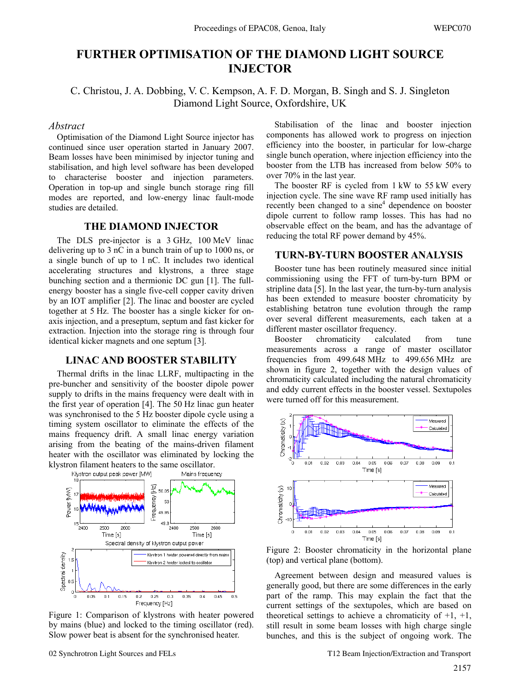# **FURTHER OPTIMISATION OF THE DIAMOND LIGHT SOURCE INJECTOR**

C. Christou, J. A. Dobbing, V. C. Kempson, A. F. D. Morgan, B. Singh and S. J. Singleton Diamond Light Source, Oxfordshire, UK

#### *Abstract*

Optimisation of the Diamond Light Source injector has continued since user operation started in January 2007. Beam losses have been minimised by injector tuning and stabilisation, and high level software has been developed to characterise booster and injection parameters. Operation in top-up and single bunch storage ring fill modes are reported, and low-energy linac fault-mode studies are detailed.

### **THE DIAMOND INJECTOR**

The DLS pre-injector is a 3 GHz, 100 MeV linac delivering up to 3 nC in a bunch train of up to 1000 ns, or a single bunch of up to 1 nC. It includes two identical accelerating structures and klystrons, a three stage bunching section and a thermionic DC gun [1]. The fullenergy booster has a single five-cell copper cavity driven by an IOT amplifier [2]. The linac and booster are cycled together at 5 Hz. The booster has a single kicker for onaxis injection, and a preseptum, septum and fast kicker for extraction. Injection into the storage ring is through four identical kicker magnets and one septum [3].

# **LINAC AND BOOSTER STABILITY**

Thermal drifts in the linac LLRF, multipacting in the pre-buncher and sensitivity of the booster dipole power supply to drifts in the mains frequency were dealt with in the first year of operation [4]. The 50 Hz linac gun heater was synchronised to the 5 Hz booster dipole cycle using a timing system oscillator to eliminate the effects of the mains frequency drift. A small linac energy variation arising from the beating of the mains-driven filament heater with the oscillator was eliminated by locking the klystron filament heaters to the same oscillator.<br>Klystron output peak power MWI Mains frequency



Figure 1: Comparison of klystrons with heater powered by mains (blue) and locked to the timing oscillator (red). Slow power beat is absent for the synchronised heater.

Stabilisation of the linac and booster injection components has allowed work to progress on injection efficiency into the booster, in particular for low-charge single bunch operation, where injection efficiency into the booster from the LTB has increased from below 50% to over 70% in the last year.

The booster RF is cycled from 1 kW to 55 kW every injection cycle. The sine wave RF ramp used initially has recently been changed to a sine<sup>4</sup> dependence on booster dipole current to follow ramp losses. This has had no observable effect on the beam, and has the advantage of reducing the total RF power demand by 45%.

# **TURN-BY-TURN BOOSTER ANALYSIS**

Booster tune has been routinely measured since initial commissioning using the FFT of turn-by-turn BPM or stripline data [5]. In the last year, the turn-by-turn analysis has been extended to measure booster chromaticity by establishing betatron tune evolution through the ramp over several different measurements, each taken at a different master oscillator frequency.

Booster chromaticity calculated from tune measurements across a range of master oscillator frequencies from 499.648 MHz to 499.656 MHz are shown in figure 2, together with the design values of chromaticity calculated including the natural chromaticity and eddy current effects in the booster vessel. Sextupoles were turned off for this measurement.



Figure 2: Booster chromaticity in the horizontal plane (top) and vertical plane (bottom).

Agreement between design and measured values is generally good, but there are some differences in the early part of the ramp. This may explain the fact that the current settings of the sextupoles, which are based on theoretical settings to achieve a chromaticity of  $+1$ ,  $+1$ , still result in some beam losses with high charge single bunches, and this is the subject of ongoing work. The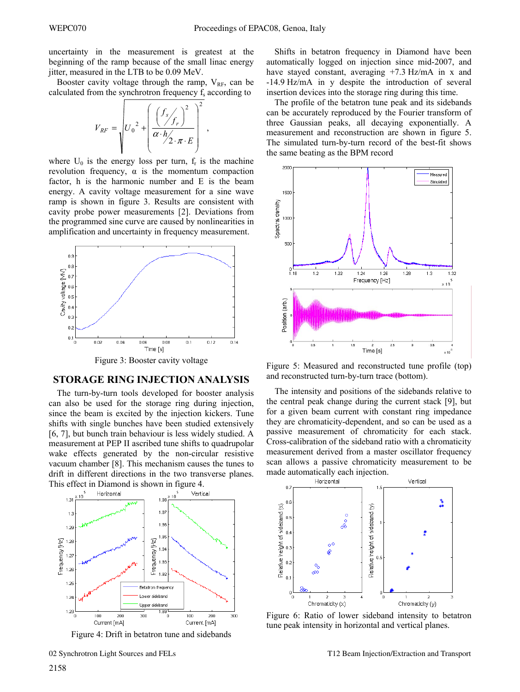uncertainty in the measurement is greatest at the beginning of the ramp because of the small linac energy jitter, measured in the LTB to be 0.09 MeV.

Booster cavity voltage through the ramp,  $V_{RF}$ , can be calculated from the synchrotron frequency  $f_s$  according to

$$
V_{RF} = \sqrt{U_0^2 + \left(\frac{f_s}{\alpha \cdot h/2 \cdot \pi \cdot E}\right)^2},
$$

where  $U_0$  is the energy loss per turn,  $f_r$  is the machine revolution frequency,  $\alpha$  is the momentum compaction factor, h is the harmonic number and E is the beam energy. A cavity voltage measurement for a sine wave ramp is shown in figure 3. Results are consistent with cavity probe power measurements [2]. Deviations from the programmed sine curve are caused by nonlinearities in amplification and uncertainty in frequency measurement.



Figure 3: Booster cavity voltage

#### **STORAGE RING INJECTION ANALYSIS**

The turn-by-turn tools developed for booster analysis can also be used for the storage ring during injection, since the beam is excited by the injection kickers. Tune shifts with single bunches have been studied extensively [6, 7], but bunch train behaviour is less widely studied. A measurement at PEP II ascribed tune shifts to quadrupolar wake effects generated by the non-circular resistive vacuum chamber [8]. This mechanism causes the tunes to drift in different directions in the two transverse planes. This effect in Diamond is shown in figure 4.



Figure 4: Drift in betatron tune and sidebands

Shifts in betatron frequency in Diamond have been automatically logged on injection since mid-2007, and have stayed constant, averaging  $+7.3$  Hz/mA in x and -14.9 Hz/mA in y despite the introduction of several insertion devices into the storage ring during this time.

The profile of the betatron tune peak and its sidebands can be accurately reproduced by the Fourier transform of three Gaussian peaks, all decaying exponentially. A measurement and reconstruction are shown in figure 5. The simulated turn-by-turn record of the best-fit shows the same beating as the BPM record



Figure 5: Measured and reconstructed tune profile (top) and reconstructed turn-by-turn trace (bottom).

The intensity and positions of the sidebands relative to the central peak change during the current stack [9], but for a given beam current with constant ring impedance they are chromaticity-dependent, and so can be used as a passive measurement of chromaticity for each stack. Cross-calibration of the sideband ratio with a chromaticity measurement derived from a master oscillator frequency scan allows a passive chromaticity measurement to be made automatically each injection.



Figure 6: Ratio of lower sideband intensity to betatron tune peak intensity in horizontal and vertical planes.